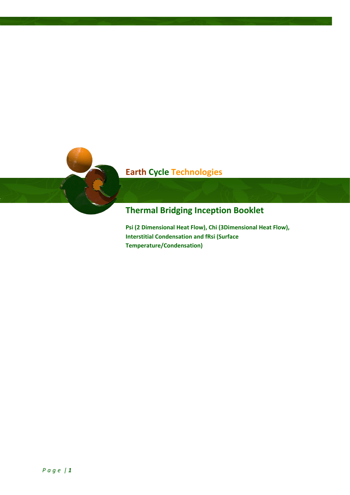# **Earth Cycle Technologies**

## **Thermal Bridging Inception Booklet**

**Psi (2 Dimensional Heat Flow), Chi (3Dimensional Heat Flow), Interstitial Condensation and fRsi (Surface Temperature/Condensation)**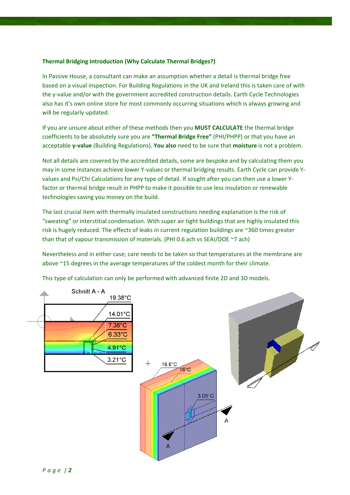### **Thermal Bridging Introduction (Why Calculate Thermal Bridges?)**

In Passive House, a consultant can make an assumption whether a detail is thermal bridge free based on a visual inspection. For Building Regulations in the UK and Ireland this is taken care of with the y-value and/or with the government accredited construction details. Earth Cycle Technologies also has it's own online store for most commonly occurring situations which is always growing and will be regularly updated.

If you are unsure about either of these methods then you **MUST CALCULATE** the thermal bridge coefficients to be absolutely sure you are **"Thermal Bridge Free"** (PHI/PHPP) or that you have an acceptable **y-value** (Building Regulations). **You also** need to be sure that **moisture** is not a problem.

Not all details are covered by the accredited details, some are bespoke and by calculating them you may in some instances achieve lower Y-values or thermal bridging results. Earth Cycle can provide Yvalues and Psi/Chi Calculations for any type of detail. If sought after you can then use a lower Yfactor or thermal bridge result in PHPP to make it possible to use less insulation or renewable technologies saving you money on the build.

The last crucial item with thermally insulated constructions needing explanation is the risk of "sweating" or interstitial condensation. With super air tight buildings that are highly insulated this risk is hugely reduced. The effects of leaks in current regulation buildings are ~360 times greater than that of vapour transmission of materials. (PHI 0.6 ach vs SEAI/DOE ~7 ach)

Nevertheless and in either case; care needs to be taken so that temperatures at the membrane are above ~15 degrees in the average temperatures of the coldest month for their climate.

This type of calculation can only be performed with advanced finite 2D and 3D models.

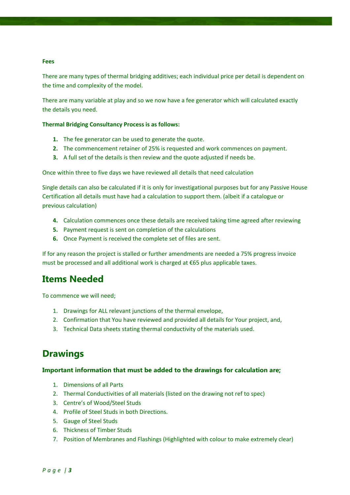#### **Fees**

There are many types of thermal bridging additives; each individual price per detail is dependent on the time and complexity of the model.

There are many variable at play and so we now have a fee generator which will calculated exactly the details you need.

#### **Thermal Bridging Consultancy Process is as follows:**

- **1.** The fee generator can be used to generate the quote.
- **2.** The commencement retainer of 25% is requested and work commences on payment.
- **3.** A full set of the details is then review and the quote adjusted if needs be.

Once within three to five days we have reviewed all details that need calculation

Single details can also be calculated if it is only for investigational purposes but for any Passive House Certification all details must have had a calculation to support them. (albeit if a catalogue or previous calculation)

- **4.** Calculation commences once these details are received taking time agreed after reviewing
- **5.** Payment request is sent on completion of the calculations
- **6.** Once Payment is received the complete set of files are sent.

If for any reason the project is stalled or further amendments are needed a 75% progress invoice must be processed and all additional work is charged at €65 plus applicable taxes.

### **Items Needed**

To commence we will need;

- 1. Drawings for ALL relevant junctions of the thermal envelope,
- 2. Confirmation that You have reviewed and provided all details for Your project, and,
- 3. Technical Data sheets stating thermal conductivity of the materials used.

### **Drawings**

#### **Important information that must be added to the drawings for calculation are;**

- 1. Dimensions of all Parts
- 2. Thermal Conductivities of all materials (listed on the drawing not ref to spec)
- 3. Centre's of Wood/Steel Studs
- 4. Profile of Steel Studs in both Directions.
- 5. Gauge of Steel Studs
- 6. Thickness of Timber Studs
- 7. Position of Membranes and Flashings (Highlighted with colour to make extremely clear)